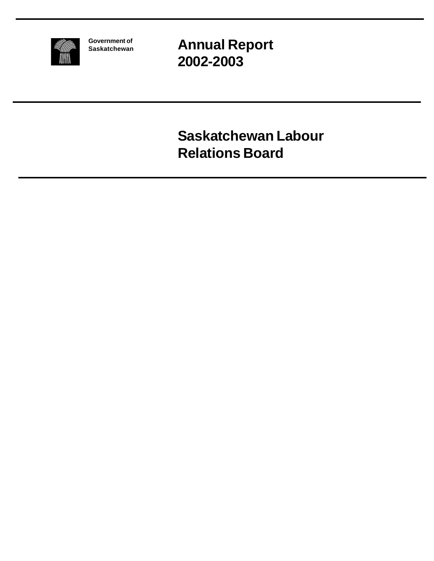

**Government of Saskatchewan** **Annual Report 2002-2003**

**Saskatchewan Labour Relations Board**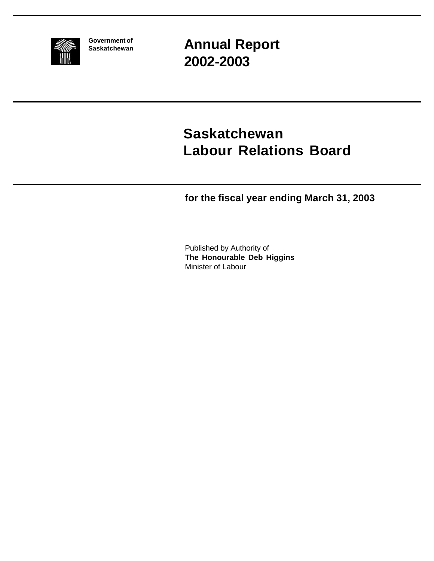

**Government of Saskatchewan** **Annual Report 2002-2003**

# **Saskatchewan Labour Relations Board**

**for the fiscal year ending March 31, 2003**

Published by Authority of **The Honourable Deb Higgins** Minister of Labour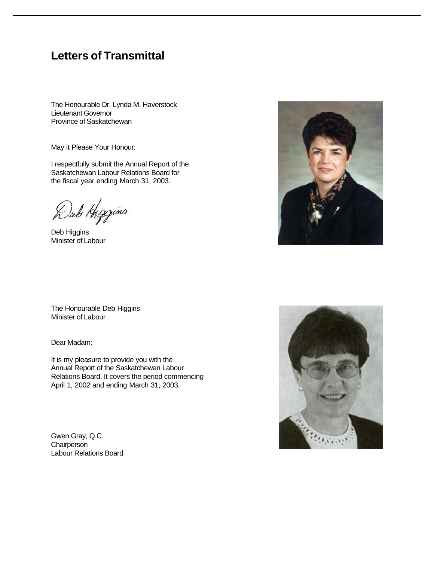### **Letters of Transmittal**

The Honourable Dr. Lynda M. Haverstock Lieutenant Governor Province of Saskatchewan

May it Please Your Honour:

I respectfully submit the Annual Report of the Saskatchewan Labour Relations Board for the fiscal year ending March 31, 2003.

Dub Higgins

Deb Higgins Minister of Labour



The Honourable Deb Higgins Minister of Labour

Dear Madam:

It is my pleasure to provide you with the Annual Report of the Saskatchewan Labour Relations Board. It covers the period commencing April 1, 2002 and ending March 31, 2003.

Gwen Gray, Q.C. **Chairperson** Labour Relations Board

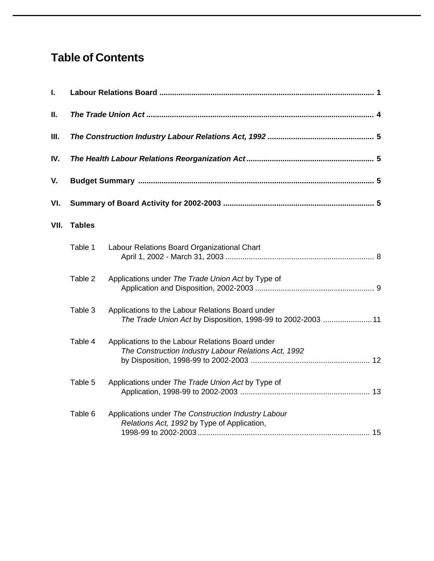## **Table of Contents**

| I.   |               |                                                                                                                  |  |  |  |  |  |
|------|---------------|------------------------------------------------------------------------------------------------------------------|--|--|--|--|--|
| П.   |               |                                                                                                                  |  |  |  |  |  |
| Ш.   |               |                                                                                                                  |  |  |  |  |  |
| IV.  |               |                                                                                                                  |  |  |  |  |  |
| V.   |               |                                                                                                                  |  |  |  |  |  |
| VI.  |               |                                                                                                                  |  |  |  |  |  |
| VII. | <b>Tables</b> |                                                                                                                  |  |  |  |  |  |
|      | Table 1       | Labour Relations Board Organizational Chart                                                                      |  |  |  |  |  |
|      | Table 2       | Applications under The Trade Union Act by Type of                                                                |  |  |  |  |  |
|      | Table 3       | Applications to the Labour Relations Board under<br>The Trade Union Act by Disposition, 1998-99 to 2002-2003  11 |  |  |  |  |  |
|      | Table 4       | Applications to the Labour Relations Board under<br>The Construction Industry Labour Relations Act, 1992         |  |  |  |  |  |
|      | Table 5       | Applications under The Trade Union Act by Type of                                                                |  |  |  |  |  |
|      | Table 6       | Applications under The Construction Industry Labour<br>Relations Act, 1992 by Type of Application,               |  |  |  |  |  |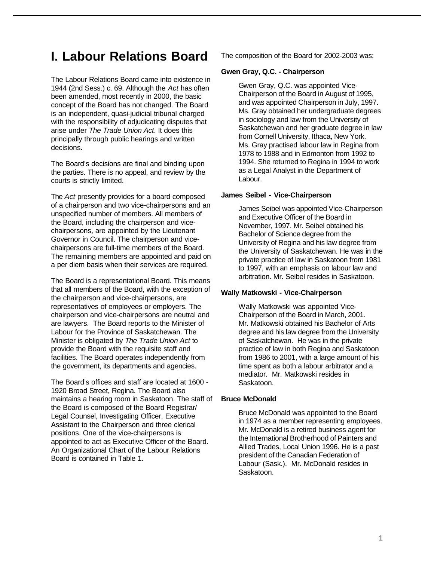## **I. Labour Relations Board**

The Labour Relations Board came into existence in 1944 (2nd Sess.) c. 69. Although the *Act* has often been amended, most recently in 2000, the basic concept of the Board has not changed. The Board is an independent, quasi-judicial tribunal charged with the responsibility of adjudicating disputes that arise under *The Trade Union Act*. It does this principally through public hearings and written decisions.

The Board's decisions are final and binding upon the parties. There is no appeal, and review by the courts is strictly limited.

The *Act* presently provides for a board composed of a chairperson and two vice-chairpersons and an unspecified number of members. All members of the Board, including the chairperson and vicechairpersons, are appointed by the Lieutenant Governor in Council. The chairperson and vicechairpersons are full-time members of the Board. The remaining members are appointed and paid on a per diem basis when their services are required.

The Board is a representational Board. This means that all members of the Board, with the exception of the chairperson and vice-chairpersons, are representatives of employees or employers. The chairperson and vice-chairpersons are neutral and are lawyers. The Board reports to the Minister of Labour for the Province of Saskatchewan. The Minister is obligated by *The Trade Union Act* to provide the Board with the requisite staff and facilities. The Board operates independently from the government, its departments and agencies.

The Board's offices and staff are located at 1600 - 1920 Broad Street, Regina. The Board also maintains a hearing room in Saskatoon. The staff of the Board is composed of the Board Registrar/ Legal Counsel, Investigating Officer, Executive Assistant to the Chairperson and three clerical positions. One of the vice-chairpersons is appointed to act as Executive Officer of the Board. An Organizational Chart of the Labour Relations Board is contained in Table 1.

The composition of the Board for 2002-2003 was:

#### **Gwen Gray, Q.C. - Chairperson**

Gwen Gray, Q.C. was appointed Vice-Chairperson of the Board in August of 1995, and was appointed Chairperson in July, 1997. Ms. Gray obtained her undergraduate degrees in sociology and law from the University of Saskatchewan and her graduate degree in law from Cornell University, Ithaca, New York. Ms. Gray practised labour law in Regina from 1978 to 1988 and in Edmonton from 1992 to 1994. She returned to Regina in 1994 to work as a Legal Analyst in the Department of Labour.

#### **James Seibel - Vice-Chairperson**

James Seibel was appointed Vice-Chairperson and Executive Officer of the Board in November, 1997. Mr. Seibel obtained his Bachelor of Science degree from the University of Regina and his law degree from the University of Saskatchewan. He was in the private practice of law in Saskatoon from 1981 to 1997, with an emphasis on labour law and arbitration. Mr. Seibel resides in Saskatoon.

#### **Wally Matkowski - Vice-Chairperson**

Wally Matkowski was appointed Vice-Chairperson of the Board in March, 2001. Mr. Matkowski obtained his Bachelor of Arts degree and his law degree from the University of Saskatchewan. He was in the private practice of law in both Regina and Saskatoon from 1986 to 2001, with a large amount of his time spent as both a labour arbitrator and a mediator. Mr. Matkowski resides in Saskatoon.

#### **Bruce McDonald**

Bruce McDonald was appointed to the Board in 1974 as a member representing employees. Mr. McDonald is a retired business agent for the International Brotherhood of Painters and Allied Trades, Local Union 1996. He is a past president of the Canadian Federation of Labour (Sask.). Mr. McDonald resides in Saskatoon.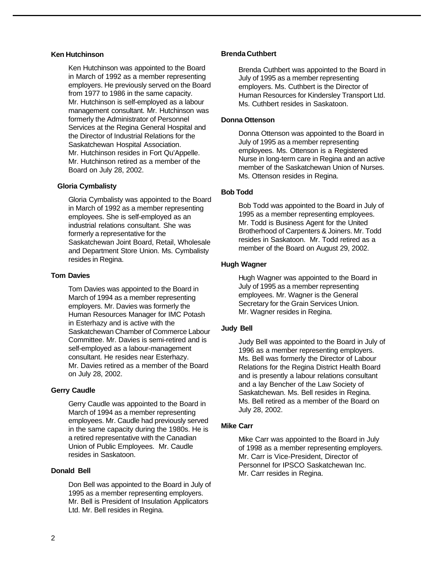#### **Ken Hutchinson**

Ken Hutchinson was appointed to the Board in March of 1992 as a member representing employers. He previously served on the Board from 1977 to 1986 in the same capacity. Mr. Hutchinson is self-employed as a labour management consultant. Mr. Hutchinson was formerly the Administrator of Personnel Services at the Regina General Hospital and the Director of Industrial Relations for the Saskatchewan Hospital Association. Mr. Hutchinson resides in Fort Qu'Appelle. Mr. Hutchinson retired as a member of the Board on July 28, 2002.

#### **Gloria Cymbalisty**

Gloria Cymbalisty was appointed to the Board in March of 1992 as a member representing employees. She is self-employed as an industrial relations consultant. She was formerly a representative for the Saskatchewan Joint Board, Retail, Wholesale and Department Store Union. Ms. Cymbalisty resides in Regina.

#### **Tom Davies**

Tom Davies was appointed to the Board in March of 1994 as a member representing employers. Mr. Davies was formerly the Human Resources Manager for IMC Potash in Esterhazy and is active with the Saskatchewan Chamber of Commerce Labour Committee. Mr. Davies is semi-retired and is self-employed as a labour-management consultant. He resides near Esterhazy. Mr. Davies retired as a member of the Board on July 28, 2002.

#### **Gerry Caudle**

Gerry Caudle was appointed to the Board in March of 1994 as a member representing employees. Mr. Caudle had previously served in the same capacity during the 1980s. He is a retired representative with the Canadian Union of Public Employees. Mr. Caudle resides in Saskatoon.

#### **Donald Bell**

Don Bell was appointed to the Board in July of 1995 as a member representing employers. Mr. Bell is President of Insulation Applicators Ltd. Mr. Bell resides in Regina.

#### **Brenda Cuthbert**

Brenda Cuthbert was appointed to the Board in July of 1995 as a member representing employers. Ms. Cuthbert is the Director of Human Resources for Kindersley Transport Ltd. Ms. Cuthbert resides in Saskatoon.

#### **Donna Ottenson**

Donna Ottenson was appointed to the Board in July of 1995 as a member representing employees. Ms. Ottenson is a Registered Nurse in long-term care in Regina and an active member of the Saskatchewan Union of Nurses. Ms. Ottenson resides in Regina.

#### **Bob Todd**

Bob Todd was appointed to the Board in July of 1995 as a member representing employees. Mr. Todd is Business Agent for the United Brotherhood of Carpenters & Joiners. Mr. Todd resides in Saskatoon. Mr. Todd retired as a member of the Board on August 29, 2002.

#### **Hugh Wagner**

Hugh Wagner was appointed to the Board in July of 1995 as a member representing employees. Mr. Wagner is the General Secretary for the Grain Services Union. Mr. Wagner resides in Regina.

#### **Judy Bell**

Judy Bell was appointed to the Board in July of 1996 as a member representing employers. Ms. Bell was formerly the Director of Labour Relations for the Regina District Health Board and is presently a labour relations consultant and a lay Bencher of the Law Society of Saskatchewan. Ms. Bell resides in Regina. Ms. Bell retired as a member of the Board on July 28, 2002.

#### **Mike Carr**

Mike Carr was appointed to the Board in July of 1998 as a member representing employers. Mr. Carr is Vice-President, Director of Personnel for IPSCO Saskatchewan Inc. Mr. Carr resides in Regina.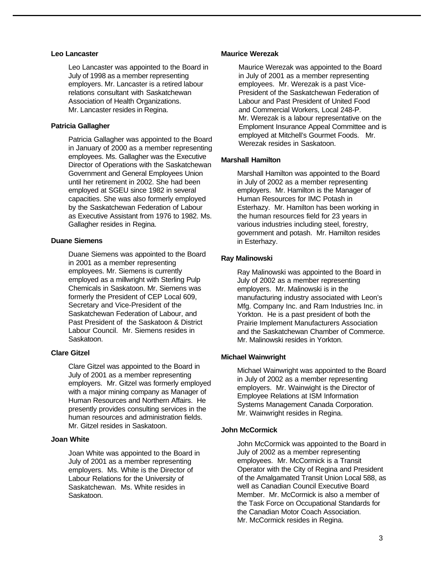#### **Leo Lancaster**

Leo Lancaster was appointed to the Board in July of 1998 as a member representing employers. Mr. Lancaster is a retired labour relations consultant with Saskatchewan Association of Health Organizations. Mr. Lancaster resides in Regina.

#### **Patricia Gallagher**

Patricia Gallagher was appointed to the Board in January of 2000 as a member representing employees. Ms. Gallagher was the Executive Director of Operations with the Saskatchewan Government and General Employees Union until her retirement in 2002. She had been employed at SGEU since 1982 in several capacities. She was also formerly employed by the Saskatchewan Federation of Labour as Executive Assistant from 1976 to 1982. Ms. Gallagher resides in Regina.

#### **Duane Siemens**

Duane Siemens was appointed to the Board in 2001 as a member representing employees. Mr. Siemens is currently employed as a millwright with Sterling Pulp Chemicals in Saskatoon. Mr. Siemens was formerly the President of CEP Local 609, Secretary and Vice-President of the Saskatchewan Federation of Labour, and Past President of the Saskatoon & District Labour Council. Mr. Siemens resides in Saskatoon.

#### **Clare Gitzel**

Clare Gitzel was appointed to the Board in July of 2001 as a member representing employers. Mr. Gitzel was formerly employed with a major mining company as Manager of Human Resources and Northern Affairs. He presently provides consulting services in the human resources and administration fields. Mr. Gitzel resides in Saskatoon.

#### **Joan White**

Joan White was appointed to the Board in July of 2001 as a member representing employers. Ms. White is the Director of Labour Relations for the University of Saskatchewan. Ms. White resides in Saskatoon.

#### **Maurice Werezak**

Maurice Werezak was appointed to the Board in July of 2001 as a member representing employees. Mr. Werezak is a past Vice-President of the Saskatchewan Federation of Labour and Past President of United Food and Commercial Workers, Local 248-P. Mr. Werezak is a labour representative on the Emploment Insurance Appeal Committee and is employed at Mitchell's Gourmet Foods. Mr. Werezak resides in Saskatoon.

#### **Marshall Hamilton**

Marshall Hamilton was appointed to the Board in July of 2002 as a member representing employers. Mr. Hamilton is the Manager of Human Resources for IMC Potash in Esterhazy. Mr. Hamilton has been working in the human resources field for 23 years in various industries including steel, forestry, government and potash. Mr. Hamilton resides in Esterhazy.

#### **Ray Malinowski**

Ray Malinowski was appointed to the Board in July of 2002 as a member representing employers. Mr. Malinowski is in the manufacturing industry associated with Leon's Mfg. Company Inc. and Ram Industries Inc. in Yorkton. He is a past president of both the Prairie Implement Manufacturers Association and the Saskatchewan Chamber of Commerce. Mr. Malinowski resides in Yorkton.

#### **Michael Wainwright**

Michael Wainwright was appointed to the Board in July of 2002 as a member representing employers. Mr. Wainwight is the Director of Employee Relations at ISM Information Systems Management Canada Corporation. Mr. Wainwright resides in Regina.

#### **John McCormick**

John McCormick was appointed to the Board in July of 2002 as a member representing employees. Mr. McCormick is a Transit Operator with the City of Regina and President of the Amalgamated Transit Union Local 588, as well as Canadian Council Executive Board Member. Mr. McCormick is also a member of the Task Force on Occupational Standards for the Canadian Motor Coach Association. Mr. McCormick resides in Regina.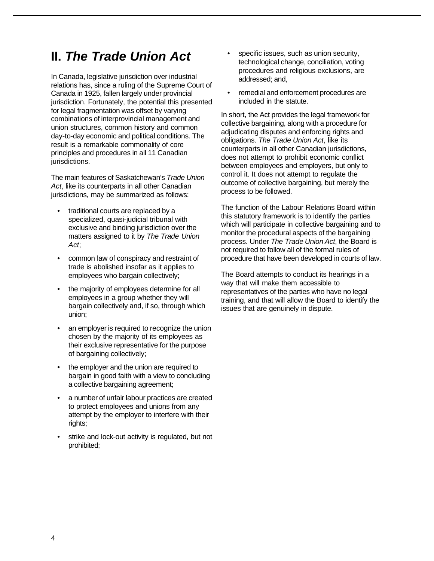### **II.** *The Trade Union Act*

In Canada, legislative jurisdiction over industrial relations has, since a ruling of the Supreme Court of Canada in 1925, fallen largely under provincial jurisdiction. Fortunately, the potential this presented for legal fragmentation was offset by varying combinations of interprovincial management and union structures, common history and common day-to-day economic and political conditions. The result is a remarkable commonality of core principles and procedures in all 11 Canadian jurisdictions.

The main features of Saskatchewan's *Trade Union Act*, like its counterparts in all other Canadian jurisdictions, may be summarized as follows:

- traditional courts are replaced by a specialized, quasi-judicial tribunal with exclusive and binding jurisdiction over the matters assigned to it by *The Trade Union Act*;
- common law of conspiracy and restraint of trade is abolished insofar as it applies to employees who bargain collectively;
- the majority of employees determine for all employees in a group whether they will bargain collectively and, if so, through which union;
- an employer is required to recognize the union chosen by the majority of its employees as their exclusive representative for the purpose of bargaining collectively;
- the employer and the union are required to bargain in good faith with a view to concluding a collective bargaining agreement;
- a number of unfair labour practices are created to protect employees and unions from any attempt by the employer to interfere with their rights;
- strike and lock-out activity is regulated, but not prohibited;
- specific issues, such as union security, technological change, conciliation, voting procedures and religious exclusions, are addressed; and,
- remedial and enforcement procedures are included in the statute.

In short, the Act provides the legal framework for collective bargaining, along with a procedure for adjudicating disputes and enforcing rights and obligations. *The Trade Union Act*, like its counterparts in all other Canadian jurisdictions, does not attempt to prohibit economic conflict between employees and employers, but only to control it. It does not attempt to regulate the outcome of collective bargaining, but merely the process to be followed.

The function of the Labour Relations Board within this statutory framework is to identify the parties which will participate in collective bargaining and to monitor the procedural aspects of the bargaining process. Under *The Trade Union Act*, the Board is not required to follow all of the formal rules of procedure that have been developed in courts of law.

The Board attempts to conduct its hearings in a way that will make them accessible to representatives of the parties who have no legal training, and that will allow the Board to identify the issues that are genuinely in dispute.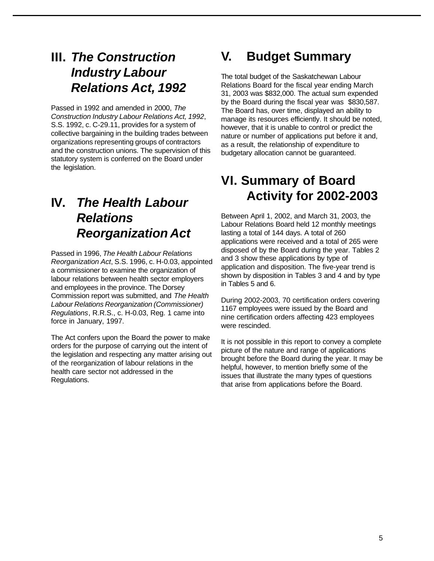## **III.** *The Construction Industry Labour Relations Act, 1992*

Passed in 1992 and amended in 2000, *The Construction Industry Labour Relations Act, 1992*, S.S. 1992, c. C-29.11, provides for a system of collective bargaining in the building trades between organizations representing groups of contractors and the construction unions. The supervision of this statutory system is conferred on the Board under the legislation.

## **IV.** *The Health Labour Relations Reorganization Act*

Passed in 1996, *The Health Labour Relations Reorganization Act*, S.S. 1996, c. H-0.03, appointed a commissioner to examine the organization of labour relations between health sector employers and employees in the province. The Dorsey Commission report was submitted, and *The Health Labour Relations Reorganization (Commissioner) Regulations*, R.R.S., c. H-0.03, Reg. 1 came into force in January, 1997.

The Act confers upon the Board the power to make orders for the purpose of carrying out the intent of the legislation and respecting any matter arising out of the reorganization of labour relations in the health care sector not addressed in the Regulations.

# **V. Budget Summary**

The total budget of the Saskatchewan Labour Relations Board for the fiscal year ending March 31, 2003 was \$832,000. The actual sum expended by the Board during the fiscal year was \$830,587. The Board has, over time, displayed an ability to manage its resources efficiently. It should be noted, however, that it is unable to control or predict the nature or number of applications put before it and, as a result, the relationship of expenditure to budgetary allocation cannot be guaranteed.

## **VI. Summary of Board Activity for 2002-2003**

Between April 1, 2002, and March 31, 2003, the Labour Relations Board held 12 monthly meetings lasting a total of 144 days. A total of 260 applications were received and a total of 265 were disposed of by the Board during the year. Tables 2 and 3 show these applications by type of application and disposition. The five-year trend is shown by disposition in Tables 3 and 4 and by type in Tables 5 and 6.

During 2002-2003, 70 certification orders covering 1167 employees were issued by the Board and nine certification orders affecting 423 employees were rescinded.

It is not possible in this report to convey a complete picture of the nature and range of applications brought before the Board during the year. It may be helpful, however, to mention briefly some of the issues that illustrate the many types of questions that arise from applications before the Board.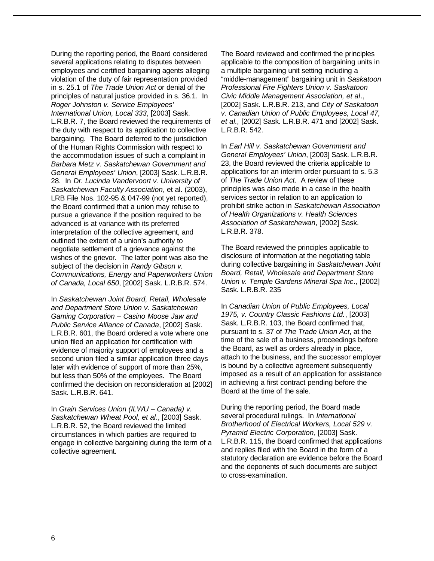During the reporting period, the Board considered several applications relating to disputes between employees and certified bargaining agents alleging violation of the duty of fair representation provided in s. 25.1 of *The Trade Union Act* or denial of the principles of natural justice provided in s. 36.1. In *Roger Johnston v. Service Employees' International Union, Local 333*, [2003] Sask. L.R.B.R. 7, the Board reviewed the requirements of the duty with respect to its application to collective bargaining. The Board deferred to the jurisdiction of the Human Rights Commission with respect to the accommodation issues of such a complaint in *Barbara Metz v. Saskatchewan Government and General Employees' Union*, [2003] Sask. L.R.B.R. 28. In *Dr. Lucinda Vandervoort v. University of Saskatchewan Faculty Association*, et al. (2003), LRB File Nos. 102-95 & 047-99 (not yet reported), the Board confirmed that a union may refuse to pursue a grievance if the position required to be advanced is at variance with its preferred interpretation of the collective agreement, and outlined the extent of a union's authority to negotiate settlement of a grievance against the wishes of the grievor. The latter point was also the subject of the decision in *Randy Gibson v. Communications, Energy and Paperworkers Union of Canada, Local 650*, [2002] Sask. L.R.B.R. 574.

In *Saskatchewan Joint Board, Retail, Wholesale and Department Store Union v. Saskatchewan Gaming Corporation – Casino Moose Jaw and Public Service Alliance of Canada*, [2002] Sask. L.R.B.R. 601, the Board ordered a vote where one union filed an application for certification with evidence of majority support of employees and a second union filed a similar application three days later with evidence of support of more than 25%, but less than 50% of the employees. The Board confirmed the decision on reconsideration at [2002] Sask. L.R.B.R. 641.

In *Grain Services Union (ILWU – Canada) v. Saskatchewan Wheat Pool, et al.*, [2003] Sask. L.R.B.R. 52, the Board reviewed the limited circumstances in which parties are required to engage in collective bargaining during the term of a collective agreement.

The Board reviewed and confirmed the principles applicable to the composition of bargaining units in a multiple bargaining unit setting including a "middle-management" bargaining unit in *Saskatoon Professional Fire Fighters Union v. Saskatoon Civic Middle Management Association, et al*., [2002] Sask. L.R.B.R. 213, and *City of Saskatoon v. Canadian Union of Public Employees, Local 47, et al.,* [2002] Sask. L.R.B.R. 471 and [2002] Sask. L.R.B.R. 542.

In *Earl Hill v. Saskatchewan Government and General Employees' Union*, [2003] Sask. L.R.B.R. 23, the Board reviewed the criteria applicable to applications for an interim order pursuant to s. 5.3 of *The Trade Union Act*. A review of these principles was also made in a case in the health services sector in relation to an application to prohibit strike action in *Saskatchewan Association of Health Organizations v. Health Sciences Association of Saskatchewan*, [2002] Sask. L.R.B.R. 378.

The Board reviewed the principles applicable to disclosure of information at the negotiating table during collective bargaining in *Saskatchewan Joint Board, Retail, Wholesale and Department Store Union v. Temple Gardens Mineral Spa Inc*., [2002] Sask. L.R.B.R. 235

In *Canadian Union of Public Employees, Local 1975, v. Country Classic Fashions Ltd.*, [2003] Sask. L.R.B.R. 103, the Board confirmed that, pursuant to s. 37 of *The Trade Union Act*, at the time of the sale of a business, proceedings before the Board, as well as orders already in place, attach to the business, and the successor employer is bound by a collective agreement subsequently imposed as a result of an application for assistance in achieving a first contract pending before the Board at the time of the sale.

During the reporting period, the Board made several procedural rulings. In *International Brotherhood of Electrical Workers, Local 529 v. Pyramid Electric Corporation*, [2003] Sask. L.R.B.R. 115, the Board confirmed that applications and replies filed with the Board in the form of a statutory declaration are evidence before the Board and the deponents of such documents are subject to cross-examination.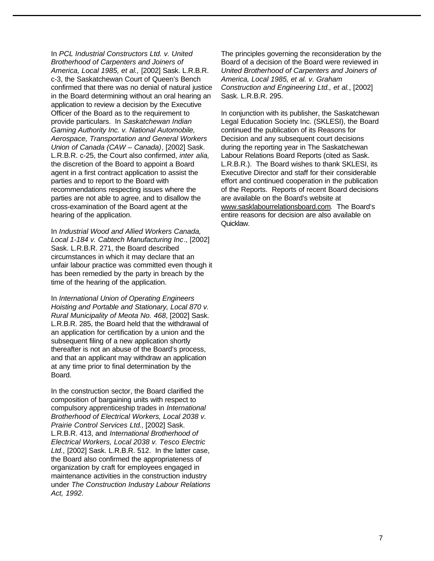In *PCL Industrial Constructors Ltd. v. United Brotherhood of Carpenters and Joiners of America, Local 1985, et al.,* [2002] Sask. L.R.B.R. c-3, the Saskatchewan Court of Queen's Bench confirmed that there was no denial of natural justice in the Board determining without an oral hearing an application to review a decision by the Executive Officer of the Board as to the requirement to provide particulars. In *Saskatchewan Indian Gaming Authority Inc. v. National Automobile, Aerospace, Transportation and General Workers Union of Canada (CAW – Canada)*, [2002] Sask. L.R.B.R. c-25, the Court also confirmed, *inter alia*, the discretion of the Board to appoint a Board agent in a first contract application to assist the parties and to report to the Board with recommendations respecting issues where the parties are not able to agree, and to disallow the cross-examination of the Board agent at the hearing of the application.

In *Industrial Wood and Allied Workers Canada, Local 1-184 v. Cabtech Manufacturing Inc*., [2002] Sask. L.R.B.R. 271, the Board described circumstances in which it may declare that an unfair labour practice was committed even though it has been remedied by the party in breach by the time of the hearing of the application.

In *International Union of Operating Engineers Hoisting and Portable and Stationary, Local 870 v. Rural Municipality of Meota No. 468*, [2002] Sask. L.R.B.R. 285, the Board held that the withdrawal of an application for certification by a union and the subsequent filing of a new application shortly thereafter is not an abuse of the Board's process, and that an applicant may withdraw an application at any time prior to final determination by the Board.

In the construction sector, the Board clarified the composition of bargaining units with respect to compulsory apprenticeship trades in *International Brotherhood of Electrical Workers, Local 2038 v. Prairie Control Services Ltd*., [2002] Sask. L.R.B.R. 413, and *International Brotherhood of Electrical Workers, Local 2038 v. Tesco Electric Ltd.,* [2002] Sask. L.R.B.R. 512. In the latter case, the Board also confirmed the appropriateness of organization by craft for employees engaged in maintenance activities in the construction industry under *The Construction Industry Labour Relations Act, 1992*.

The principles governing the reconsideration by the Board of a decision of the Board were reviewed in *United Brotherhood of Carpenters and Joiners of America, Local 1985, et al. v. Graham Construction and Engineering Ltd., et al.*, [2002] Sask. L.R.B.R. 295.

In conjunction with its publisher, the Saskatchewan Legal Education Society Inc. (SKLESI), the Board continued the publication of its Reasons for Decision and any subsequent court decisions during the reporting year in The Saskatchewan Labour Relations Board Reports (cited as Sask. L.R.B.R.). The Board wishes to thank SKLESI, its Executive Director and staff for their considerable effort and continued cooperation in the publication of the Reports. Reports of recent Board decisions are available on the Board's website at www.sasklabourrelationsboard.com. The Board's entire reasons for decision are also available on Quicklaw.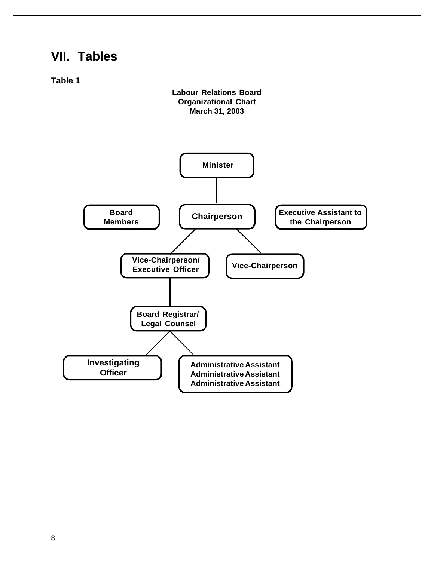## **VII. Tables**

**Table 1**



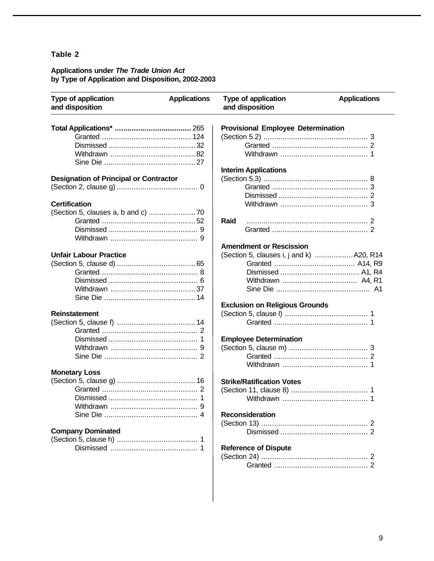#### **Applications under** *The Trade Union Act* **by Type of Application and Disposition, 2002-2003**

| Type of application<br>and disposition        | <b>Applications</b> | Type of application<br>and disposition    | <b>Applications</b> |  |  |  |
|-----------------------------------------------|---------------------|-------------------------------------------|---------------------|--|--|--|
|                                               |                     | <b>Provisional Employee Determination</b> |                     |  |  |  |
|                                               |                     |                                           |                     |  |  |  |
|                                               |                     |                                           |                     |  |  |  |
|                                               |                     |                                           |                     |  |  |  |
|                                               |                     |                                           |                     |  |  |  |
|                                               |                     | <b>Interim Applications</b>               |                     |  |  |  |
| <b>Designation of Principal or Contractor</b> |                     |                                           |                     |  |  |  |
|                                               |                     |                                           |                     |  |  |  |
|                                               |                     |                                           |                     |  |  |  |
| <b>Certification</b>                          |                     |                                           |                     |  |  |  |
|                                               |                     |                                           |                     |  |  |  |
|                                               |                     | Raid                                      |                     |  |  |  |
|                                               |                     |                                           |                     |  |  |  |
|                                               |                     |                                           |                     |  |  |  |
|                                               |                     | <b>Amendment or Rescission</b>            |                     |  |  |  |
| <b>Unfair Labour Practice</b>                 |                     | (Section 5, clauses i, j and k)  A20, R14 |                     |  |  |  |
|                                               |                     |                                           |                     |  |  |  |
|                                               |                     |                                           |                     |  |  |  |
|                                               |                     |                                           |                     |  |  |  |
|                                               |                     |                                           |                     |  |  |  |
|                                               |                     |                                           |                     |  |  |  |
|                                               |                     | <b>Exclusion on Religious Grounds</b>     |                     |  |  |  |
| <b>Reinstatement</b>                          |                     |                                           |                     |  |  |  |
|                                               |                     |                                           |                     |  |  |  |
|                                               |                     |                                           |                     |  |  |  |
|                                               |                     | <b>Employee Determination</b>             |                     |  |  |  |
|                                               |                     |                                           |                     |  |  |  |
|                                               |                     |                                           |                     |  |  |  |
|                                               |                     |                                           |                     |  |  |  |
| <b>Monetary Loss</b>                          |                     |                                           |                     |  |  |  |
|                                               |                     | <b>Strike/Ratification Votes</b>          |                     |  |  |  |
|                                               |                     |                                           |                     |  |  |  |
|                                               |                     |                                           |                     |  |  |  |
|                                               |                     |                                           |                     |  |  |  |
|                                               |                     | <b>Reconsideration</b>                    |                     |  |  |  |
|                                               |                     |                                           |                     |  |  |  |
| <b>Company Dominated</b>                      |                     |                                           |                     |  |  |  |
|                                               |                     |                                           |                     |  |  |  |
|                                               |                     | <b>Reference of Dispute</b>               |                     |  |  |  |
|                                               |                     |                                           |                     |  |  |  |
|                                               |                     |                                           |                     |  |  |  |
|                                               |                     |                                           |                     |  |  |  |
|                                               |                     |                                           |                     |  |  |  |
|                                               |                     |                                           |                     |  |  |  |
|                                               |                     |                                           |                     |  |  |  |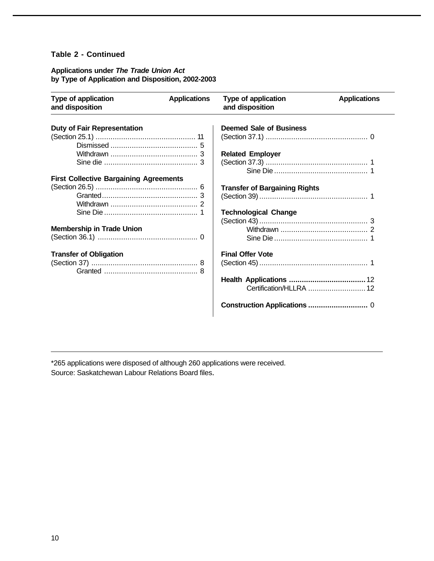#### **Table 2 - Continued**

#### **Applications under** *The Trade Union Act* **by Type of Application and Disposition, 2002-2003**

| <b>Type of application</b><br>and disposition | <b>Applications</b> | <b>Type of application</b><br>and disposition | <b>Applications</b> |
|-----------------------------------------------|---------------------|-----------------------------------------------|---------------------|
| <b>Duty of Fair Representation</b>            |                     | <b>Deemed Sale of Business</b>                |                     |
|                                               |                     |                                               |                     |
|                                               |                     |                                               |                     |
|                                               |                     | <b>Related Employer</b>                       |                     |
|                                               |                     |                                               |                     |
| <b>First Collective Bargaining Agreements</b> |                     |                                               |                     |
|                                               |                     | <b>Transfer of Bargaining Rights</b>          |                     |
|                                               |                     |                                               |                     |
|                                               |                     |                                               |                     |
|                                               |                     | <b>Technological Change</b>                   |                     |
|                                               |                     |                                               |                     |
| <b>Membership in Trade Union</b>              |                     |                                               |                     |
|                                               |                     |                                               |                     |
| <b>Transfer of Obligation</b>                 |                     | <b>Final Offer Vote</b>                       |                     |
|                                               |                     |                                               |                     |
|                                               |                     |                                               |                     |
|                                               |                     |                                               |                     |
|                                               |                     |                                               |                     |

\*265 applications were disposed of although 260 applications were received. Source: Saskatchewan Labour Relations Board files.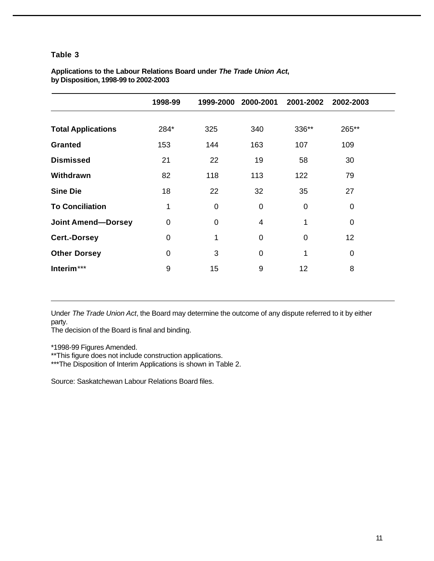| Applications to the Labour Relations Board under The Trade Union Act, |  |  |
|-----------------------------------------------------------------------|--|--|
| by Disposition, 1998-99 to 2002-2003                                  |  |  |

|                           | 1998-99 |             | 1999-2000 2000-2001 | 2001-2002      | 2002-2003       |
|---------------------------|---------|-------------|---------------------|----------------|-----------------|
|                           |         |             |                     |                |                 |
| <b>Total Applications</b> | 284*    | 325         | 340                 | 336**          | 265**           |
| <b>Granted</b>            | 153     | 144         | 163                 | 107            | 109             |
| <b>Dismissed</b>          | 21      | 22          | 19                  | 58             | 30              |
| Withdrawn                 | 82      | 118         | 113                 | 122            | 79              |
| <b>Sine Die</b>           | 18      | 22          | 32                  | 35             | 27              |
| <b>To Conciliation</b>    | 1       | $\mathbf 0$ | $\mathbf 0$         | $\mathbf 0$    | 0               |
| <b>Joint Amend-Dorsey</b> | 0       | $\mathbf 0$ | $\overline{4}$      | 1              | 0               |
| <b>Cert.-Dorsey</b>       | 0       | 1           | $\mathbf 0$         | $\overline{0}$ | 12 <sub>2</sub> |
| <b>Other Dorsey</b>       | 0       | 3           | $\mathbf 0$         | 1              | 0               |
| Interim***                | 9       | 15          | 9                   | 12             | 8               |

Under *The Trade Union Act*, the Board may determine the outcome of any dispute referred to it by either party.

The decision of the Board is final and binding.

\*1998-99 Figures Amended.

\*\*This figure does not include construction applications.

\*\*\*The Disposition of Interim Applications is shown in Table 2.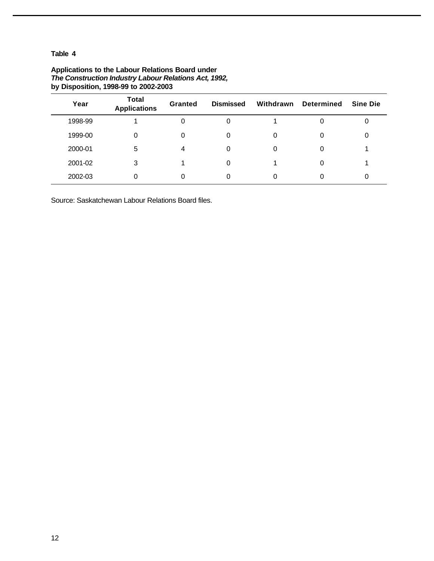| Year    | <b>Total</b><br><b>Applications</b> | <b>Granted</b> | <b>Dismissed</b> | Withdrawn | <b>Determined</b> | <b>Sine Die</b> |
|---------|-------------------------------------|----------------|------------------|-----------|-------------------|-----------------|
| 1998-99 |                                     |                | 0                |           | 0                 | 0               |
| 1999-00 | 0                                   | 0              | 0                |           | 0                 | 0               |
| 2000-01 | 5                                   | 4              | 0                |           | 0                 |                 |
| 2001-02 | 3                                   |                | 0                |           | 0                 |                 |
| 2002-03 | 0                                   |                | 0                |           |                   | 0               |

#### **Applications to the Labour Relations Board under** *The Construction Industry Labour Relations Act, 1992,* **by Disposition, 1998-99 to 2002-2003**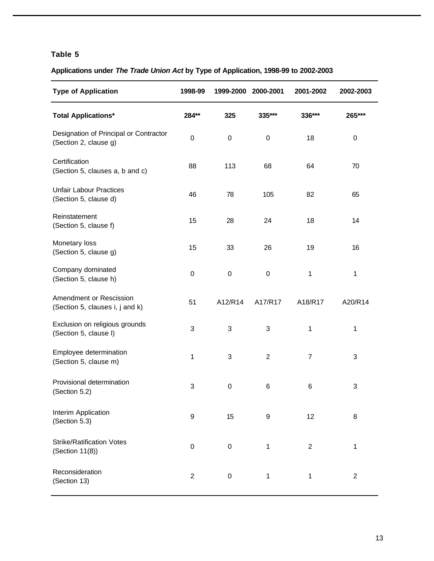### **Applications under** *The Trade Union Act* **by Type of Application, 1998-99 to 2002-2003**

| <b>Type of Application</b>                                      | 1998-99          | 1999-2000        | 2000-2001      | 2001-2002      | 2002-2003        |
|-----------------------------------------------------------------|------------------|------------------|----------------|----------------|------------------|
| <b>Total Applications*</b>                                      | 284**            | 325              | 335***         | 336***         | 265***           |
| Designation of Principal or Contractor<br>(Section 2, clause g) | $\pmb{0}$        | 0                | $\pmb{0}$      | 18             | 0                |
| Certification<br>(Section 5, clauses a, b and c)                | 88               | 113              | 68             | 64             | 70               |
| <b>Unfair Labour Practices</b><br>(Section 5, clause d)         | 46               | 78               | 105            | 82             | 65               |
| Reinstatement<br>(Section 5, clause f)                          | 15               | 28               | 24             | 18             | 14               |
| Monetary loss<br>(Section 5, clause g)                          | 15               | 33               | 26             | 19             | 16               |
| Company dominated<br>(Section 5, clause h)                      | $\pmb{0}$        | 0                | $\pmb{0}$      | 1              | 1                |
| Amendment or Rescission<br>(Section 5, clauses i, j and k)      | 51               | A12/R14          | A17/R17        | A18/R17        | A20/R14          |
| Exclusion on religious grounds<br>(Section 5, clause I)         | 3                | 3                | 3              | 1              | 1                |
| Employee determination<br>(Section 5, clause m)                 | 1                | 3                | $\overline{2}$ | $\overline{7}$ | 3                |
| Provisional determination<br>(Section 5.2)                      | 3                | $\boldsymbol{0}$ | 6              | 6              | 3                |
| Interim Application<br>(Section 5.3)                            | 9                | 15               | 9              | 12             | 8                |
| <b>Strike/Ratification Votes</b><br>(Section 11(8))             | $\boldsymbol{0}$ | $\pmb{0}$        | 1              | $\mathbf{2}$   | 1                |
| Reconsideration<br>(Section 13)                                 | $\boldsymbol{2}$ | 0                | $\mathbf{1}$   | 1              | $\boldsymbol{2}$ |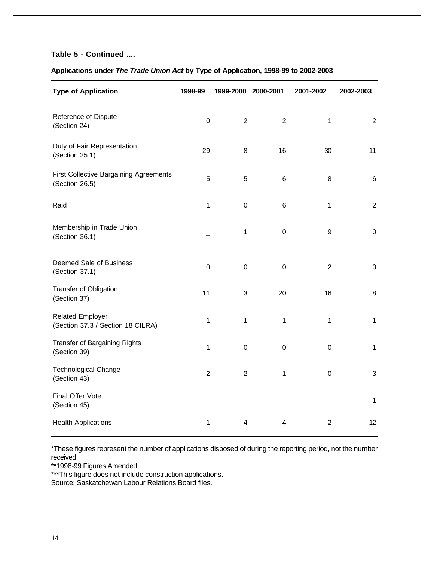#### **Table 5 - Continued ....**

### **Applications under** *The Trade Union Act* **by Type of Application, 1998-99 to 2002-2003**

| <b>Type of Application</b>                                      | 1998-99        | 1999-2000 2000-2001       |                         | 2001-2002        | 2002-2003                 |
|-----------------------------------------------------------------|----------------|---------------------------|-------------------------|------------------|---------------------------|
| Reference of Dispute<br>(Section 24)                            | $\pmb{0}$      | $\overline{2}$            | $\overline{2}$          | $\mathbf{1}$     | $\boldsymbol{2}$          |
| Duty of Fair Representation<br>(Section 25.1)                   | 29             | 8                         | 16                      | 30               | 11                        |
| <b>First Collective Bargaining Agreements</b><br>(Section 26.5) | 5              | 5                         | $\,6$                   | 8                | $\,6$                     |
| Raid                                                            | $\mathbf{1}$   | $\boldsymbol{0}$          | $\,6$                   | $\mathbf{1}$     | $\boldsymbol{2}$          |
| Membership in Trade Union<br>(Section 36.1)                     |                | 1                         | $\pmb{0}$               | $\boldsymbol{9}$ | $\pmb{0}$                 |
| Deemed Sale of Business<br>(Section 37.1)                       | $\mathbf 0$    | $\boldsymbol{0}$          | $\pmb{0}$               | $\overline{c}$   | $\pmb{0}$                 |
| Transfer of Obligation<br>(Section 37)                          | 11             | $\ensuremath{\mathsf{3}}$ | 20                      | 16               | $\,8\,$                   |
| <b>Related Employer</b><br>(Section 37.3 / Section 18 CILRA)    | $\mathbf 1$    | $\mathbf 1$               | 1                       | 1                | $\mathbf{1}$              |
| <b>Transfer of Bargaining Rights</b><br>(Section 39)            | $\mathbf{1}$   | $\boldsymbol{0}$          | $\pmb{0}$               | $\mathbf 0$      | $\mathbf{1}$              |
| <b>Technological Change</b><br>(Section 43)                     | $\overline{2}$ | $\boldsymbol{2}$          | 1                       | $\mathbf 0$      | $\ensuremath{\mathsf{3}}$ |
| Final Offer Vote<br>(Section 45)                                |                |                           |                         |                  | $\mathbf{1}$              |
| <b>Health Applications</b>                                      | 1              | $\overline{\mathbf{4}}$   | $\overline{\mathbf{4}}$ | $\overline{2}$   | 12                        |

\*These figures represent the number of applications disposed of during the reporting period, not the number received.

\*\*1998-99 Figures Amended.

\*\*\*This figure does not include construction applications.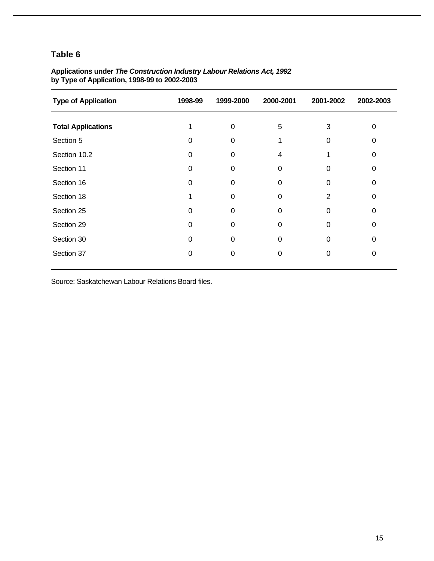| <b>Type of Application</b> | 1998-99 | 1999-2000 | 2000-2001 | 2001-2002 | 2002-2003 |
|----------------------------|---------|-----------|-----------|-----------|-----------|
| <b>Total Applications</b>  |         | $\Omega$  | 5         | 3         | 0         |
| Section 5                  | 0       | $\Omega$  |           | O         | Ω         |
| Section 10.2               | 0       | 0         | 4         |           | Ω         |
| Section 11                 | 0       | 0         | 0         |           | 0         |
| Section 16                 | 0       | 0         | 0         | O         | 0         |
| Section 18                 |         | 0         | 0         | 2         | ი         |
| Section 25                 | O       | 0         | 0         |           | O         |
| Section 29                 | 0       | 0         | ∩         |           | O         |
| Section 30                 | 0       | 0         | 0         | 0         | O         |
| Section 37                 |         | 0         | 0         |           | O         |
|                            |         |           |           |           |           |

#### **Applications under** *The Construction Industry Labour Relations Act, 1992* **by Type of Application, 1998-99 to 2002-2003**